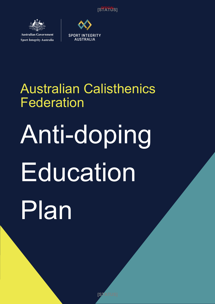[S<sup>QF</sup>AT0S]



**Australian Government Sport Integrity Australia** 



# Australian Calisthenics Federation

# Anti-doping Education Plan

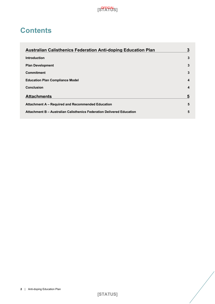

# **Contents**

| <b>Australian Calisthenics Federation Anti-doping Education Plan</b>  |   |
|-----------------------------------------------------------------------|---|
| <b>Introduction</b>                                                   | 3 |
| <b>Plan Development</b>                                               | 3 |
| <b>Commitment</b>                                                     | 3 |
| <b>Education Plan Compliance Model</b>                                | 4 |
| <b>Conclusion</b>                                                     | 4 |
| <b>Attachments</b>                                                    | 5 |
| Attachment A – Required and Recommended Education                     | 5 |
| Attachment B - Australian Calisthenics Federation Delivered Education | 5 |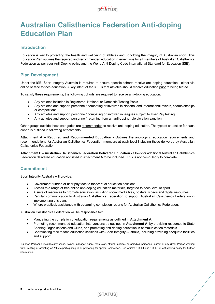### [S<sup>QFFIC</sup>IOS]

# **Australian Calisthenics Federation Anti-doping Education Plan**

#### **Introduction**

Education is key to protecting the health and wellbeing of athletes and upholding the integrity of Australian sport. This Education Plan outlines the required and recommended education interventions for all members of Australian Calisthenics Federation as per your Anti-Doping policy and the World Anti-Doping Code International Standard for Education (ISE).

#### **Plan Development**

Under the ISE, Sport Integrity Australia is required to ensure specific cohorts receive anti-doping education - either via online or face to face education. A key intent of the ISE is that athletes should receive education prior to being tested.

To satisfy these requirements, the following cohorts are required to receive anti-doping education:

- Any athletes included in Registered, National or Domestic Testing Pools
- Any athletes and support personnel\* competing or involved in National and International events, championships or competitions
- Any athletes and support personnel\* competing or involved in leagues subject to User Pay testing
- Any athletes and support personnel\* returning from an anti-doping rule violation sanction

Other groups outside these categories are recommended to receive anti-doping education. The type of education for each cohort is outlined in following attachments:

**Attachment A – Required and Recommended Education -** Outlines the anti-doping education requirements and recommendations for Australian Calisthenics Federation members at each level including those delivered by Australian Calisthenics Federation.

**Attachment B – Australian Calisthenics Federation Delivered Education -** allows for additional Australian Calisthenics Federation delivered education not listed in Attachment A to be included. This is not compulsory to complete.

#### **Commitment**

Sport Integrity Australia will provide:

- Government-funded or user pay face to face/virtual education sessions
- Access to a range of free online anti-doping education materials, targeted to each level of sport
- A suite of resources to promote education, including social media tiles, posters, videos and digital resources
- Regular communication to Australian Calisthenics Federation to support Australian Calisthenics Federation in implementing this plan.
- Where practical, assistance with eLearning completion reports for Australian Calisthenics Federation.

Australian Calisthenics Federation will be responsible for:

- Mandating the completion of education requirements as outlined in **Attachment A.**
- Promoting recommended education interventions as outlined in **Attachment A**, by providing resources to State Sporting Organisations and Clubs, and promoting anti-doping education in communication materials.
- Coordinating face to face education sessions with Sport Integrity Australia, including providing adequate facilities and support.

\*Support Personnel includes any coach, trainer, manager, agent, team staff, official, medical, paramedical personnel, parent or any Other Person working with, treating or assisting an Athlete participating in or preparing for sports Competition. See articles 1.3.1.1 and 1.3.1.2 of anti-doping policy for further information.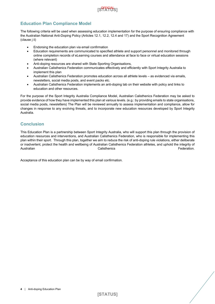

#### **Education Plan Compliance Model**

The following criteria will be used when assessing education implementation for the purpose of ensuring compliance with the Australian National Anti-Doping Policy (Articles 12.1, 12.2, 12.4 and 17) and the Sport Recognition Agreement (clause j ii)

- Endorsing the education plan via email confirmation
- Education requirements are communicated to specified athlete and support personnel and monitored through online completion records of eLearning courses and attendance at face to face or virtual education sessions (where relevant)
- Anti-doping resources are shared with State Sporting Organisations,
- Australian Calisthenics Federation communicates effectively and efficiently with Sport Integrity Australia to implement this plan
- Australian Calisthenics Federation promotes education across all athlete levels as evidenced via emails, newsletters, social media posts, and event packs etc.
- Australian Calisthenics Federation implements an anti-doping tab on their website with policy and links to education and other resources.

For the purpose of the Sport Integrity Australia Compliance Model, Australian Calisthenics Federation may be asked to provide evidence of how they have implemented this plan at various levels. (e.g.: by providing emails to state organisations, social media posts, newsletters) The Plan will be reviewed annually to assess implementation and compliance, allow for changes in response to any evolving threats, and to incorporate new education resources developed by Sport Integrity Australia.

#### **Conclusion**

This Education Plan is a partnership between Sport Integrity Australia, who will support this plan through the provision of education resources and interventions, and Australian Calisthenics Federation, who is responsible for implementing this plan within their sport. Through this plan, together we aim to reduce the risk of anti-doping rule violations, either deliberate or inadvertent, protect the health and wellbeing of Australian Calisthenics Federation athletes, and uphold the integrity of Australian **Calisthenics** Calisthenics **Calisthenics** Calisthenics **Federation**.

Acceptance of this education plan can be by way of email confirmation.